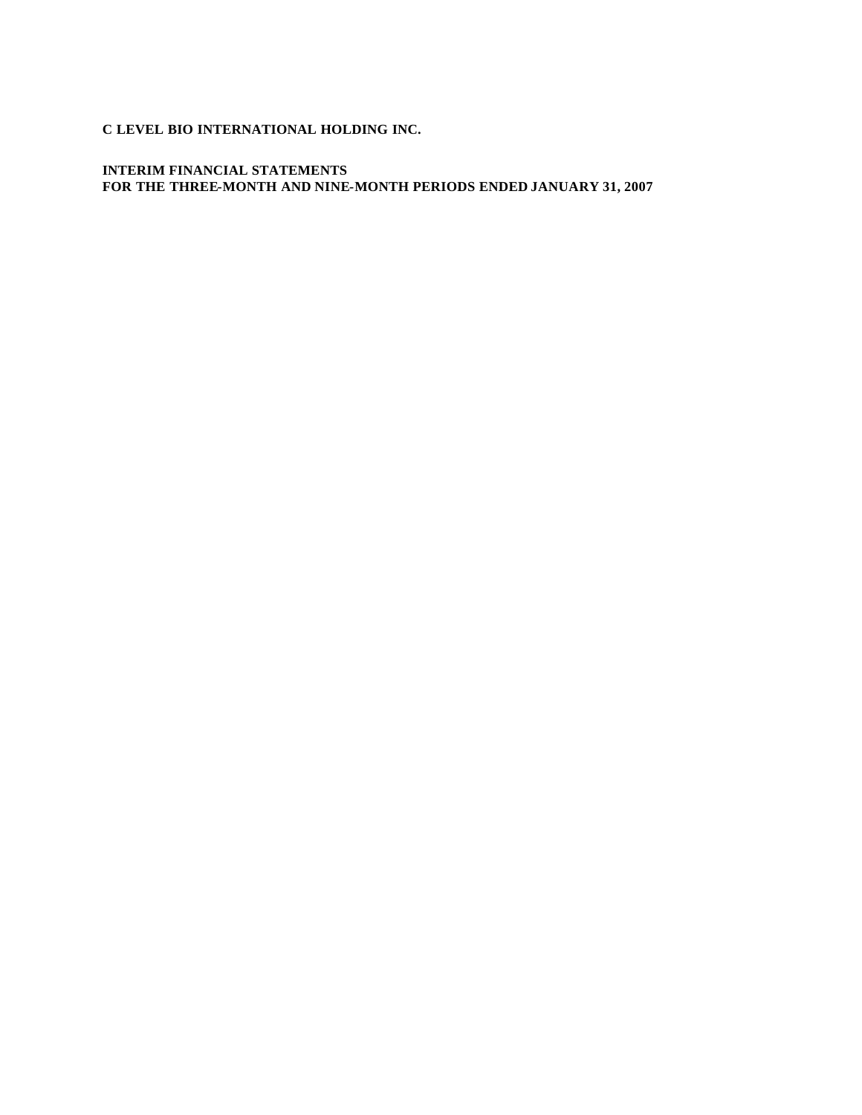**C LEVEL BIO INTERNATIONAL HOLDING INC.** 

**INTERIM FINANCIAL STATEMENTS FOR THE THREE-MONTH AND NINE-MONTH PERIODS ENDED JANUARY 31, 2007**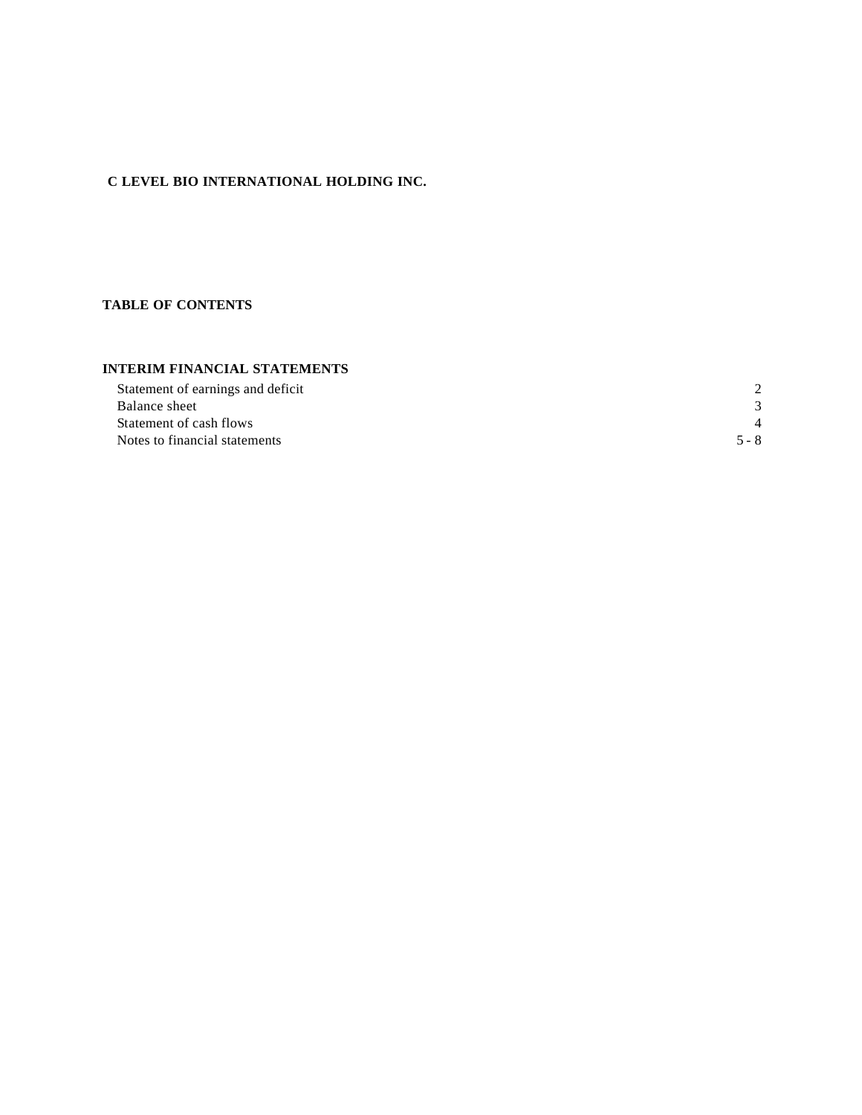# **C LEVEL BIO INTERNATIONAL HOLDING INC.**

## **TABLE OF CONTENTS**

## **INTERIM FINANCIAL STATEMENTS**

| Statement of earnings and deficit |         |
|-----------------------------------|---------|
| Balance sheet                     |         |
| Statement of cash flows           |         |
| Notes to financial statements     | $5 - 8$ |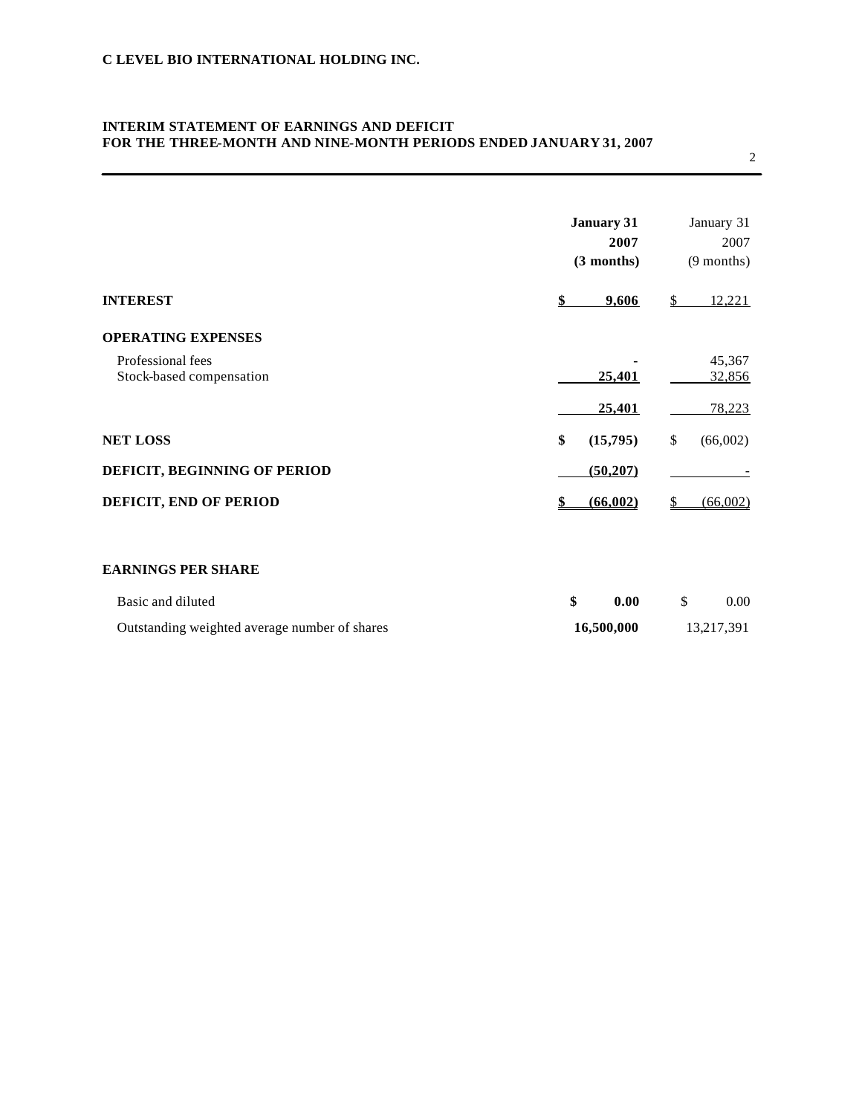## **INTERIM STATEMENT OF EARNINGS AND DEFICIT FOR THE THREE-MONTH AND NINE-MONTH PERIODS ENDED JANUARY 31, 2007**

|                              | <b>January 31</b><br>2007<br>(3 months) | January 31<br>2007<br>$(9$ months) |
|------------------------------|-----------------------------------------|------------------------------------|
| <b>INTEREST</b>              | 9,606<br>\$                             | 12,221<br>\$                       |
| <b>OPERATING EXPENSES</b>    |                                         |                                    |
| Professional fees            |                                         | 45,367                             |
| Stock-based compensation     | 25,401                                  | 32,856                             |
|                              | 25,401                                  | 78,223                             |
| <b>NET LOSS</b>              | \$<br>(15,795)                          | \$<br>(66,002)                     |
| DEFICIT, BEGINNING OF PERIOD | (50, 207)                               |                                    |
| DEFICIT, END OF PERIOD       | (66.002)                                | (66.002)                           |

## **EARNINGS PER SHARE**

| Basic and diluted                             |            | 0.00 |            | 0.00 |
|-----------------------------------------------|------------|------|------------|------|
| Outstanding weighted average number of shares | 16.500.000 |      | 13,217,391 |      |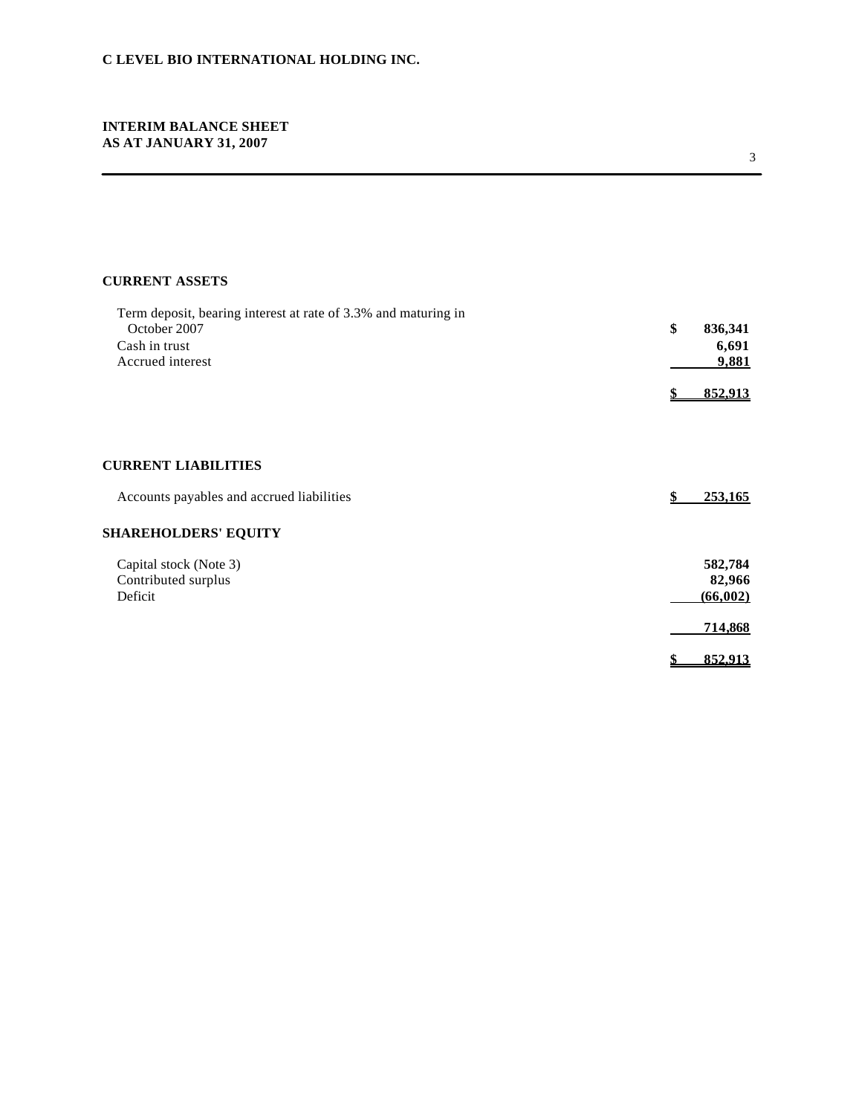## **INTERIM BALANCE SHEET AS AT JANUARY 31, 2007**

# **CURRENT ASSETS**

| Term deposit, bearing interest at rate of 3.3% and maturing in<br>October 2007<br>Cash in trust<br>Accrued interest | \$<br>836,341<br>6,691<br>9,881 |
|---------------------------------------------------------------------------------------------------------------------|---------------------------------|
|                                                                                                                     | 852,913                         |
| <b>CURRENT LIABILITIES</b>                                                                                          |                                 |
| Accounts payables and accrued liabilities                                                                           | \$<br>253,165                   |
| <b>SHAREHOLDERS' EQUITY</b>                                                                                         |                                 |
| Capital stock (Note 3)<br>Contributed surplus<br>Deficit                                                            | 582,784<br>82,966<br>(66,002)   |
|                                                                                                                     | 714,868                         |
|                                                                                                                     | 852,913                         |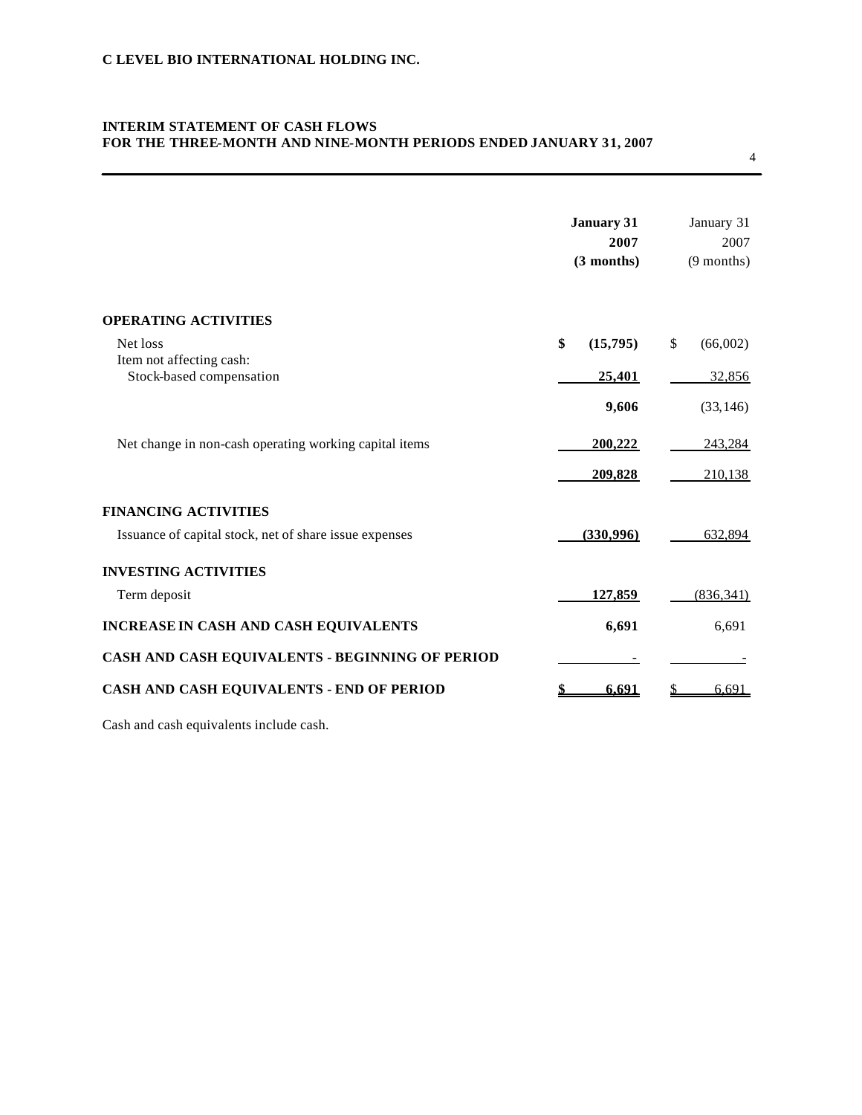# **INTERIM STATEMENT OF CASH FLOWS FOR THE THREE-MONTH AND NINE-MONTH PERIODS ENDED JANUARY 31, 2007**

|                                                        | <b>January 31</b><br>2007<br>(3 months) | January 31<br>2007<br>$(9$ months) |
|--------------------------------------------------------|-----------------------------------------|------------------------------------|
| <b>OPERATING ACTIVITIES</b>                            |                                         |                                    |
| Net loss                                               | \$<br>(15,795)                          | (66,002)<br>\$                     |
| Item not affecting cash:<br>Stock-based compensation   | 25,401                                  | 32,856                             |
|                                                        | 9,606                                   | (33, 146)                          |
| Net change in non-cash operating working capital items | 200,222                                 | 243,284                            |
|                                                        | 209,828                                 | 210,138                            |
| <b>FINANCING ACTIVITIES</b>                            |                                         |                                    |
| Issuance of capital stock, net of share issue expenses | (330,996)                               | 632,894                            |
| <b>INVESTING ACTIVITIES</b>                            |                                         |                                    |
| Term deposit                                           | 127,859                                 | (836, 341)                         |
| <b>INCREASE IN CASH AND CASH EQUIVALENTS</b>           | 6,691                                   | 6,691                              |
| CASH AND CASH EQUIVALENTS - BEGINNING OF PERIOD        |                                         |                                    |
| CASH AND CASH EQUIVALENTS - END OF PERIOD              | 6.691<br>\$                             | 6.691<br>S                         |

Cash and cash equivalents include cash.

4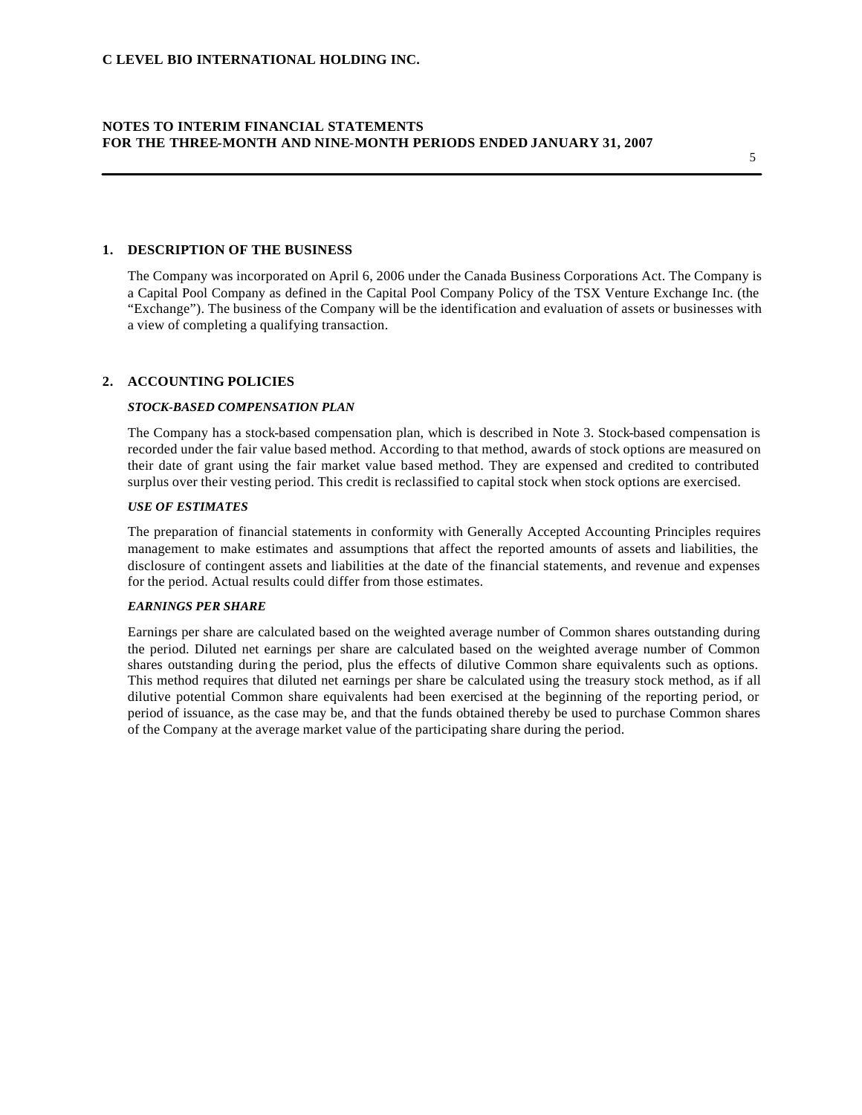### **1. DESCRIPTION OF THE BUSINESS**

The Company was incorporated on April 6, 2006 under the Canada Business Corporations Act. The Company is a Capital Pool Company as defined in the Capital Pool Company Policy of the TSX Venture Exchange Inc. (the "Exchange"). The business of the Company will be the identification and evaluation of assets or businesses with a view of completing a qualifying transaction.

### **2. ACCOUNTING POLICIES**

#### *STOCK-BASED COMPENSATION PLAN*

The Company has a stock-based compensation plan, which is described in Note 3. Stock-based compensation is recorded under the fair value based method. According to that method, awards of stock options are measured on their date of grant using the fair market value based method. They are expensed and credited to contributed surplus over their vesting period. This credit is reclassified to capital stock when stock options are exercised.

#### *USE OF ESTIMATES*

The preparation of financial statements in conformity with Generally Accepted Accounting Principles requires management to make estimates and assumptions that affect the reported amounts of assets and liabilities, the disclosure of contingent assets and liabilities at the date of the financial statements, and revenue and expenses for the period. Actual results could differ from those estimates.

#### *EARNINGS PER SHARE*

Earnings per share are calculated based on the weighted average number of Common shares outstanding during the period. Diluted net earnings per share are calculated based on the weighted average number of Common shares outstanding during the period, plus the effects of dilutive Common share equivalents such as options. This method requires that diluted net earnings per share be calculated using the treasury stock method, as if all dilutive potential Common share equivalents had been exercised at the beginning of the reporting period, or period of issuance, as the case may be, and that the funds obtained thereby be used to purchase Common shares of the Company at the average market value of the participating share during the period.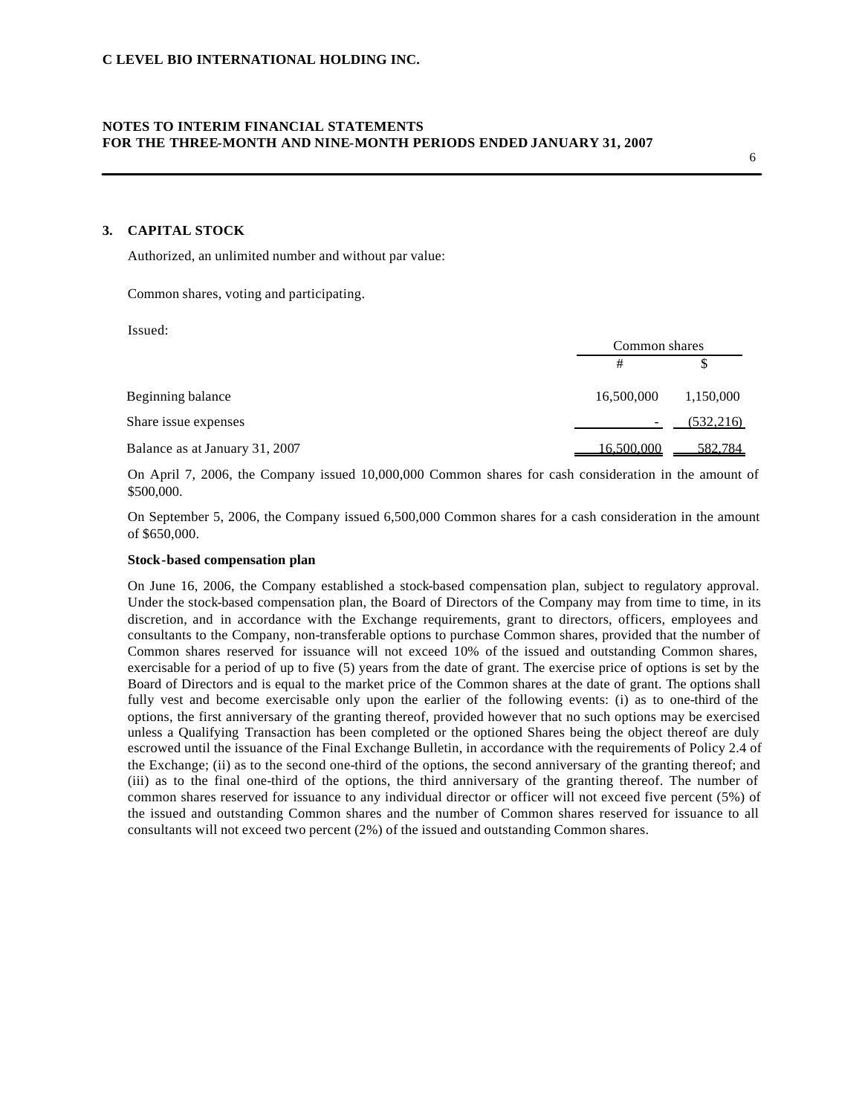### **3. CAPITAL STOCK**

Authorized, an unlimited number and without par value:

Common shares, voting and participating.

Issued:

|                                |            | Common shares |  |  |
|--------------------------------|------------|---------------|--|--|
|                                | #          |               |  |  |
| Beginning balance              | 16,500,000 | 1,150,000     |  |  |
| Share issue expenses           |            | (532, 216)    |  |  |
| Balance as at January 31, 2007 | 16.500.000 | 582.784       |  |  |

On April 7, 2006, the Company issued 10,000,000 Common shares for cash consideration in the amount of \$500,000.

On September 5, 2006, the Company issued 6,500,000 Common shares for a cash consideration in the amount of \$650,000.

#### **Stock-based compensation plan**

On June 16, 2006, the Company established a stock-based compensation plan, subject to regulatory approval. Under the stock-based compensation plan, the Board of Directors of the Company may from time to time, in its discretion, and in accordance with the Exchange requirements, grant to directors, officers, employees and consultants to the Company, non-transferable options to purchase Common shares, provided that the number of Common shares reserved for issuance will not exceed 10% of the issued and outstanding Common shares, exercisable for a period of up to five (5) years from the date of grant. The exercise price of options is set by the Board of Directors and is equal to the market price of the Common shares at the date of grant. The options shall fully vest and become exercisable only upon the earlier of the following events: (i) as to one-third of the options, the first anniversary of the granting thereof, provided however that no such options may be exercised unless a Qualifying Transaction has been completed or the optioned Shares being the object thereof are duly escrowed until the issuance of the Final Exchange Bulletin, in accordance with the requirements of Policy 2.4 of the Exchange; (ii) as to the second one-third of the options, the second anniversary of the granting thereof; and (iii) as to the final one-third of the options, the third anniversary of the granting thereof. The number of common shares reserved for issuance to any individual director or officer will not exceed five percent (5%) of the issued and outstanding Common shares and the number of Common shares reserved for issuance to all consultants will not exceed two percent (2%) of the issued and outstanding Common shares.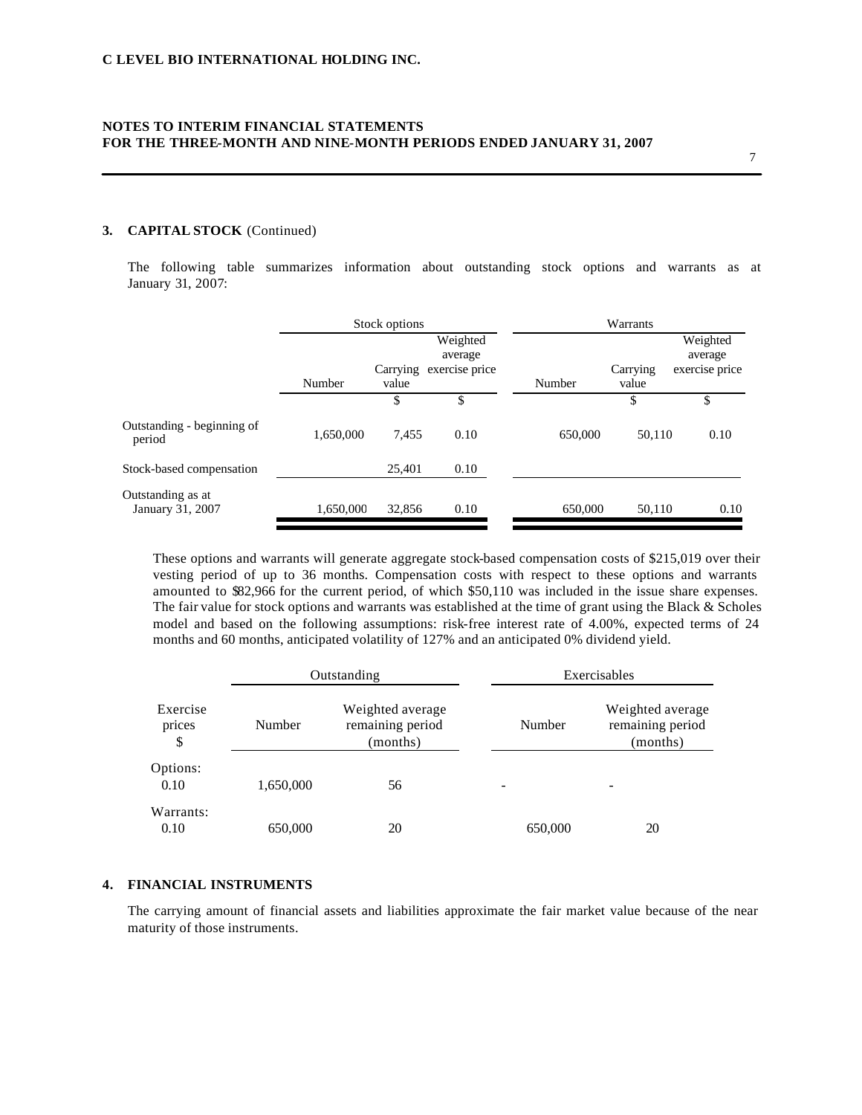#### **3. CAPITAL STOCK** (Continued)

The following table summarizes information about outstanding stock options and warrants as at January 31, 2007:

|                                       | Stock options |                   |                                       | Warrants |                   |                                       |
|---------------------------------------|---------------|-------------------|---------------------------------------|----------|-------------------|---------------------------------------|
|                                       | Number        | Carrying<br>value | Weighted<br>average<br>exercise price | Number   | Carrying<br>value | Weighted<br>average<br>exercise price |
|                                       |               | \$                | \$                                    |          | \$                | \$                                    |
| Outstanding - beginning of<br>period  | 1,650,000     | 7.455             | 0.10                                  | 650,000  | 50.110            | 0.10                                  |
| Stock-based compensation              |               | 25.401            | 0.10                                  |          |                   |                                       |
| Outstanding as at<br>January 31, 2007 | 1,650,000     | 32,856            | 0.10                                  | 650,000  | 50,110            | 0.10                                  |

These options and warrants will generate aggregate stock-based compensation costs of \$215,019 over their vesting period of up to 36 months. Compensation costs with respect to these options and warrants amounted to \$82,966 for the current period, of which \$50,110 was included in the issue share expenses. The fair value for stock options and warrants was established at the time of grant using the Black & Scholes model and based on the following assumptions: risk-free interest rate of 4.00%, expected terms of 24 months and 60 months, anticipated volatility of 127% and an anticipated 0% dividend yield.

|                          |           | Outstanding                                      |         | Exercisables                                     |  |  |
|--------------------------|-----------|--------------------------------------------------|---------|--------------------------------------------------|--|--|
| Exercise<br>prices<br>\$ | Number    | Weighted average<br>remaining period<br>(months) | Number  | Weighted average<br>remaining period<br>(months) |  |  |
| Options:<br>0.10         | 1,650,000 | 56                                               | -       |                                                  |  |  |
| Warrants:<br>0.10        | 650,000   | 20                                               | 650,000 | 20                                               |  |  |

## **4. FINANCIAL INSTRUMENTS**

The carrying amount of financial assets and liabilities approximate the fair market value because of the near maturity of those instruments.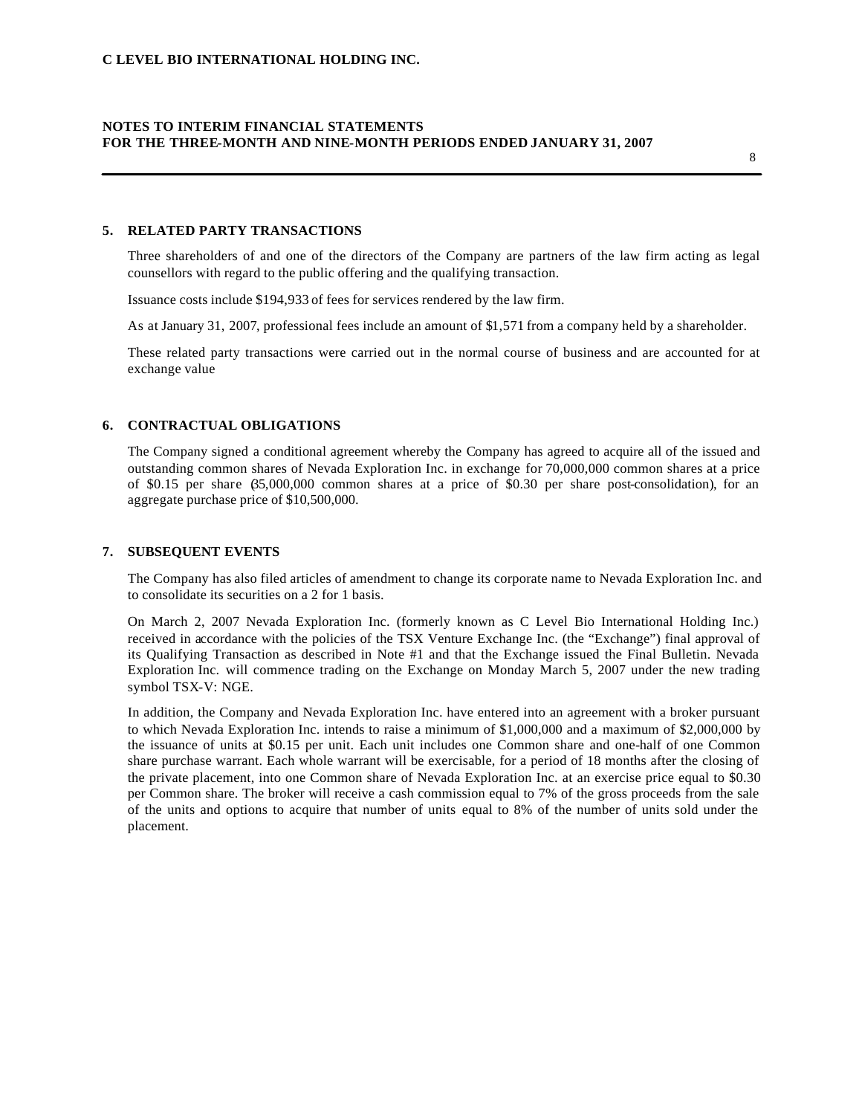#### **5. RELATED PARTY TRANSACTIONS**

Three shareholders of and one of the directors of the Company are partners of the law firm acting as legal counsellors with regard to the public offering and the qualifying transaction.

Issuance costs include \$194,933 of fees for services rendered by the law firm.

As at January 31, 2007, professional fees include an amount of \$1,571 from a company held by a shareholder.

These related party transactions were carried out in the normal course of business and are accounted for at exchange value

### **6. CONTRACTUAL OBLIGATIONS**

The Company signed a conditional agreement whereby the Company has agreed to acquire all of the issued and outstanding common shares of Nevada Exploration Inc. in exchange for 70,000,000 common shares at a price of \$0.15 per share (35,000,000 common shares at a price of \$0.30 per share post-consolidation), for an aggregate purchase price of \$10,500,000.

#### **7. SUBSEQUENT EVENTS**

The Company has also filed articles of amendment to change its corporate name to Nevada Exploration Inc. and to consolidate its securities on a 2 for 1 basis.

On March 2, 2007 Nevada Exploration Inc. (formerly known as C Level Bio International Holding Inc.) received in accordance with the policies of the TSX Venture Exchange Inc. (the "Exchange") final approval of its Qualifying Transaction as described in Note #1 and that the Exchange issued the Final Bulletin. Nevada Exploration Inc. will commence trading on the Exchange on Monday March 5, 2007 under the new trading symbol TSX-V: NGE.

In addition, the Company and Nevada Exploration Inc. have entered into an agreement with a broker pursuant to which Nevada Exploration Inc. intends to raise a minimum of \$1,000,000 and a maximum of \$2,000,000 by the issuance of units at \$0.15 per unit. Each unit includes one Common share and one-half of one Common share purchase warrant. Each whole warrant will be exercisable, for a period of 18 months after the closing of the private placement, into one Common share of Nevada Exploration Inc. at an exercise price equal to \$0.30 per Common share. The broker will receive a cash commission equal to 7% of the gross proceeds from the sale of the units and options to acquire that number of units equal to 8% of the number of units sold under the placement.